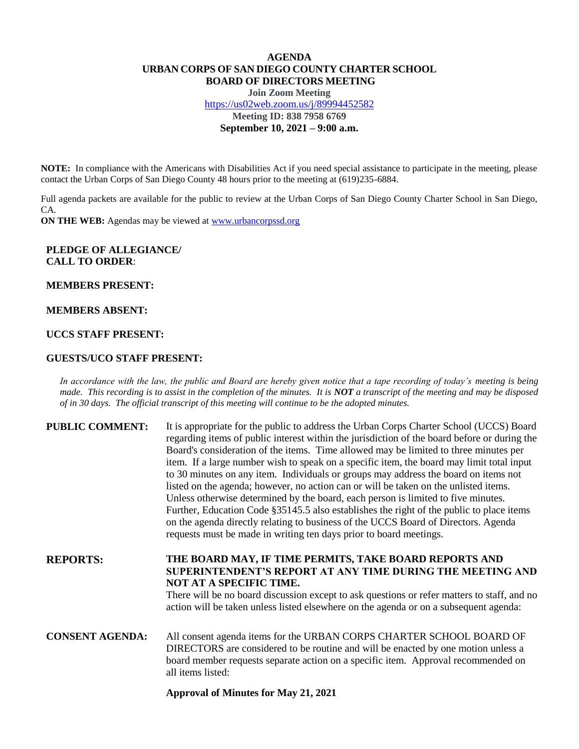# **AGENDA URBAN CORPS OF SAN DIEGO COUNTY CHARTER SCHOOL BOARD OF DIRECTORS MEETING**

**Join Zoom Meeting** <https://us02web.zoom.us/j/89994452582> **Meeting ID: 838 7958 6769 September 10, 2021 – 9:00 a.m.**

**NOTE:** In compliance with the Americans with Disabilities Act if you need special assistance to participate in the meeting, please contact the Urban Corps of San Diego County 48 hours prior to the meeting at (619)235-6884.

Full agenda packets are available for the public to review at the Urban Corps of San Diego County Charter School in San Diego, CA.

**ON THE WEB:** Agendas may be viewed at **www.urbancorpssd.org** 

## **PLEDGE OF ALLEGIANCE/ CALL TO ORDER**:

**MEMBERS PRESENT:**

#### **MEMBERS ABSENT:**

## **UCCS STAFF PRESENT:**

### **GUESTS/UCO STAFF PRESENT:**

*In accordance with the law, the public and Board are hereby given notice that a tape recording of today's meeting is being made. This recording is to assist in the completion of the minutes. It is NOT a transcript of the meeting and may be disposed of in 30 days. The official transcript of this meeting will continue to be the adopted minutes.*

| <b>PUBLIC COMMENT:</b> | It is appropriate for the public to address the Urban Corps Charter School (UCCS) Board<br>regarding items of public interest within the jurisdiction of the board before or during the<br>Board's consideration of the items. Time allowed may be limited to three minutes per<br>item. If a large number wish to speak on a specific item, the board may limit total input<br>to 30 minutes on any item. Individuals or groups may address the board on items not<br>listed on the agenda; however, no action can or will be taken on the unlisted items.<br>Unless otherwise determined by the board, each person is limited to five minutes.<br>Further, Education Code §35145.5 also establishes the right of the public to place items<br>on the agenda directly relating to business of the UCCS Board of Directors. Agenda<br>requests must be made in writing ten days prior to board meetings. |
|------------------------|----------------------------------------------------------------------------------------------------------------------------------------------------------------------------------------------------------------------------------------------------------------------------------------------------------------------------------------------------------------------------------------------------------------------------------------------------------------------------------------------------------------------------------------------------------------------------------------------------------------------------------------------------------------------------------------------------------------------------------------------------------------------------------------------------------------------------------------------------------------------------------------------------------|
| <b>REPORTS:</b>        | THE BOARD MAY, IF TIME PERMITS, TAKE BOARD REPORTS AND<br>SUPERINTENDENT'S REPORT AT ANY TIME DURING THE MEETING AND<br><b>NOT AT A SPECIFIC TIME.</b><br>There will be no board discussion except to ask questions or refer matters to staff, and no<br>action will be taken unless listed elsewhere on the agenda or on a subsequent agenda:                                                                                                                                                                                                                                                                                                                                                                                                                                                                                                                                                           |
| <b>CONSENT AGENDA:</b> | All consent agenda items for the URBAN CORPS CHARTER SCHOOL BOARD OF<br>DIRECTORS are considered to be routine and will be enacted by one motion unless a<br>board member requests separate action on a specific item. Approval recommended on<br>all items listed:                                                                                                                                                                                                                                                                                                                                                                                                                                                                                                                                                                                                                                      |

#### **Approval of Minutes for May 21, 2021**